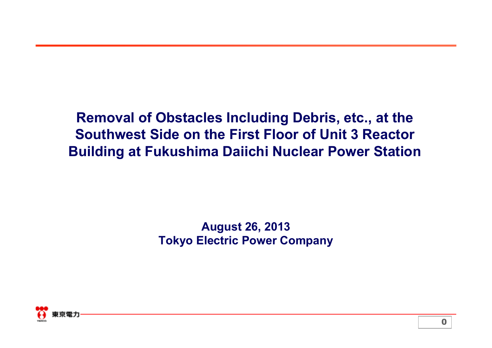**Removal of Obstacles Including Debris, etc., at the Southwest Side on the First Floor of Unit 3 Reactor Building at Fukushima Daiichi Nuclear Power Station**

> **August 26, 2013 Tokyo Electric Power Company**

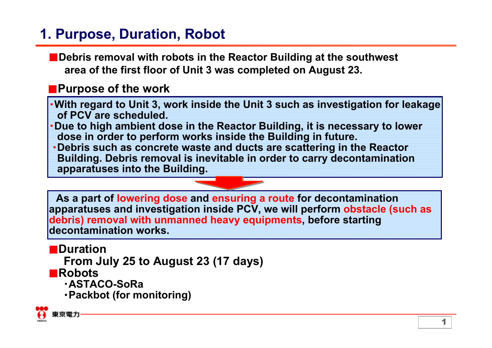# **1. Purpose, Duration, Robot**

■**Debris removal with robots in the Reactor Building at the southwest area of the first floor of Unit 3 was completed on August 23.** 

### ■**Purpose of the work**

・**With regard to Unit 3, work inside the Unit 3 such as investigation for leakage of PCV are scheduled.**

- ・**Due to high ambient dose in the Reactor Building, it is necessary to lower dose in order to perform works inside the Building in future.**
- ・**Debris such as concrete waste and ducts are scattering in the Reactor Building. Debris removal is inevitable in order to carry decontamination apparatuses into the Building.**

**As a part of lowering dose and ensuring a route for decontamination apparatuses and investigation inside PCV, we will perform obstacle (such as debris) removal with unmanned heavy equipments, before starting decontamination works.**

■**Duration**

**From July 25 to August 23 (17 days)**

■**Robots**

- ・**ASTACO-SoRa**
- ・**Packbot (for monitoring)**

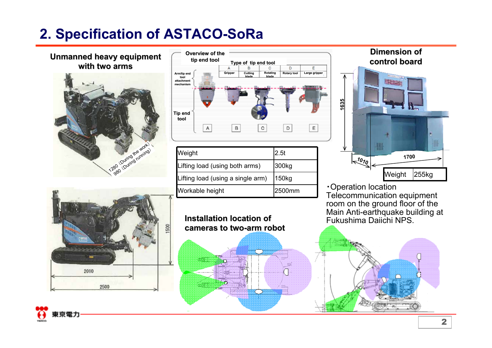# **2. Specification of ASTACO-SoRa**





| Jab (During furning) | Weight                            | 2.5t   |
|----------------------|-----------------------------------|--------|
|                      | Lifting load (using both arms)    | 300kg  |
|                      | Lifting load (using a single arm) | 150kg  |
|                      | Workable height                   | 2500mm |





ЮŸ.



・Operation location Telecommunication equipment room on the ground floor of the Main Anti-earthquake building at

i po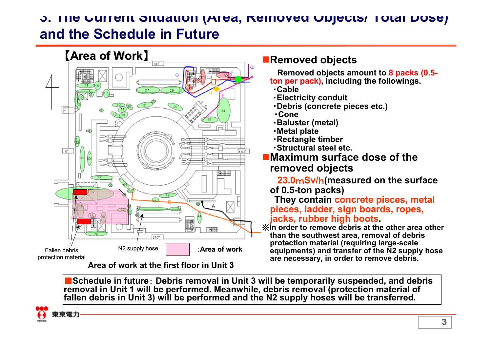## **3. The Current Situation (Area, Removed Objects/ Total Dose) and the Schedule in Future**



**Area of work at the first floor in Unit 3**

#### **Removed objects**

**Removed objects amount to 8 packs (0.5 ton per pack), including the followings.**

- ・**Cable**
- ・**Electricity conduit**
- ・**Debris (concrete pieces etc.)**
- ・**Cone**
- ・**Baluster (metal)**
- ・**Metal plate**
- ・**Rectangle timber**
- ・**Structural steel etc.**

#### **Maximum surface dose of the removed objects**

**23.0** m**Sv/** h**(measured on the surface of 0.5-ton packs)**

**They contain concrete pieces, metal pieces, ladder, sign boards, ropes, jacks, rubber high boots.**

※**In order to remove debris at the other area other than the southwest area, removal of debris protection material (requiring large-scale equipments) and transfer of the N2 supply hose are necessary, in order to remove debris.**

■ Schedule in future: Debris removal in Unit 3 will be temporarily suspended, and debris **removal in Unit 1 will be performed. Meanwhile, debris removal (protection material of fallen debris in Unit 3) will be performed and the N2 supply hoses will be transferred.**

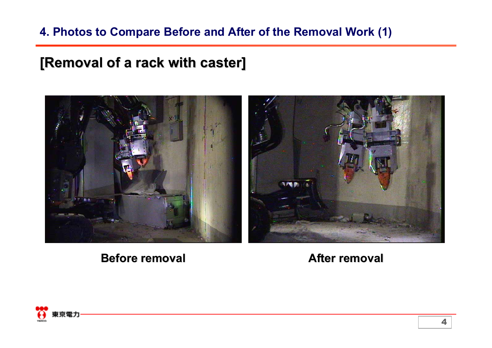### **4. Photos to Compare Before and After of the Removal Work (1)**

## **[Removal of a rack with caster] [Removal of a rack with caster]**



**Before removal Before removal**

**After removal After removal**